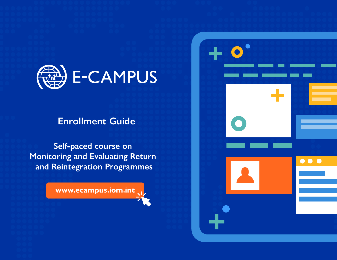

# **Enrollment Guide**

**Self-paced course on Monitoring and Evaluating Return and Reintegration Programmes**

**www.ecampus.iom.int**

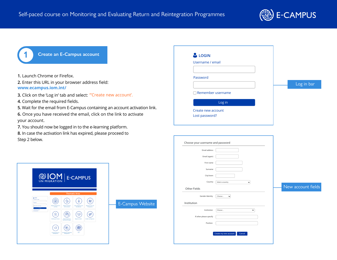

### **1 Create an E-Campus account**

- **1.** Launch Chrome or Firefox.
- **2.** Enter this URL in your browser address field: **www.ecampus.iom.int/**
- **3.** Click on the 'Log in' tab and select: "Create new account'.
- **4.** Complete the required fields.
- **5.** Wait for the email from E-Campus containing an account activation link.
- **6.** Once you have received the email, click on the link to activate your account.
- **7.** You should now be logged in to the e-learning platform.

**8.** In case the activation link has expired, please proceed to Step 2 below.

| <b>LOGIN</b>                         |  |            |
|--------------------------------------|--|------------|
| Username / email                     |  |            |
|                                      |  |            |
| Password                             |  |            |
|                                      |  | Log in bar |
| Remember username                    |  |            |
| Log in                               |  |            |
| Create new account<br>Lost password? |  |            |

| Email address           |                                  |                    |
|-------------------------|----------------------------------|--------------------|
| Email (again)           |                                  |                    |
| First name              |                                  |                    |
| Surname                 |                                  |                    |
| City/town               |                                  |                    |
| Country                 | Select a country<br>$\checkmark$ |                    |
| Other Fields            |                                  | New account fields |
| Gender Identity         | Choose<br>$\checkmark$           |                    |
| Institution             |                                  |                    |
| Institution             | Choose<br>$\checkmark$           |                    |
| If other please specify |                                  |                    |
| Position                |                                  |                    |
|                         |                                  |                    |



| <b>E-Campus Website</b> |  |  |  |
|-------------------------|--|--|--|
|                         |  |  |  |
|                         |  |  |  |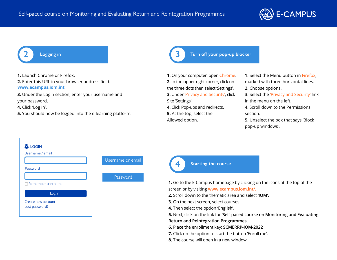

**1.** Launch Chrome or Firefox.

**2.** Enter this URL in your browser address field: **www.ecampus.iom.int**

**3.** Under the Login section, enter your username and your password.

**4.** Click 'Log in'.

**5.** You should now be logged into the e-learning platform.

### **2 Logging in 3 Turn off your pop‐up blocker**

- **1.** On your computer, open Chrome. **2.** In the upper right corner, click on the three dots then select 'Settings'. **3.** Under 'Privacy and Security', click Site 'Settings'.
- **4.** Click Pop-ups and redirects.
- **5.** At the top, select the Allowed option.
- **1.** Select the Menu button in Firefox, marked with three horizontal lines.
- **2.** Choose options.
- **3.** Select the 'Privacy and Security' link in the menu on the left.
- **4.** Scroll down to the Permissions section.

**5.** Unselect the box that says 'Block pop-up windows'.





**4 Starting the course**

**1.** Go to the E-Campus homepage by clicking on the icons at the top of the screen or by visiting **www.ecampus.iom.int/.**

- **2.** Scroll down to the thematic area and select **'IOM'**.
- **3.** On the next screen, select courses.
- **4.** Then select the option **'English'**.

**5.** Next, click on the link for **'Self-paced course on Monitoring and Evaluating Return and Reintegration Programmes'.**

- **6.** Place the enrollment key: **SCMERRP-IOM-2022**
- **7.** Click on the option to start the button 'Enroll me'.
- **8.** The course will open in a new window.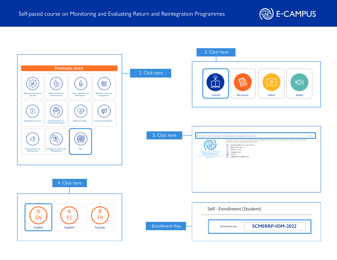

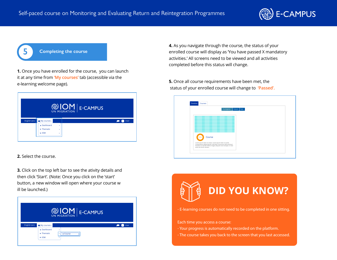

**5 Completing the course**

**1.** Once you have enrolled for the course, you can launch it at any time from **'My courses'** tab (accessible via the e-learning welcome page).

|              |                                                              |        | <b>WIOM</b> E-CAMPUS |
|--------------|--------------------------------------------------------------|--------|----------------------|
| English (en) | My courses ><br>* Dashboard<br>$\approx$ Thematic<br>$= 10M$ | ٠<br>٠ | User                 |

**2.** Select the course.

**3.** Click on the top left bar to see the ativity details and then click 'Start'. (Note: Once you click on the 'start' button, a new window will open where your course w ill be launched.)

|              |                               | <b>WIOM</b> E-CAMPUS |      |
|--------------|-------------------------------|----------------------|------|
| English (en) | My courses »<br>* Dashboard   | ٠                    | User |
|              | $\approx$ Thematic<br>$= 10M$ | * Course<br>٠<br>٠   |      |

**4.** As you navigate through the course, the status of your enrolled course will display as 'You have passed X mandatory activities.' All screens need to be viewed and all activities completed before this status will change.

**5.** Once all course requirements have been met, the status of your enrolled course will change to **'Passed'.**

|                       | In progress                                                                                                                                                                                | Past<br>Future |  |
|-----------------------|--------------------------------------------------------------------------------------------------------------------------------------------------------------------------------------------|----------------|--|
|                       |                                                                                                                                                                                            |                |  |
|                       |                                                                                                                                                                                            |                |  |
|                       |                                                                                                                                                                                            |                |  |
| Course<br>100%        |                                                                                                                                                                                            |                |  |
| enim ad minim veniam. | Lorem ipsum dolor sit amet, Lorem ipsum dolor sit amet,<br>consectetuer adipiscing elit, sed diam nonummy nibh euismod<br>tincidunt ut laoreet dolore magna aliquam erat volutpat. Ut wisi |                |  |

**DID YOU KNOW?**

- E-learning courses do not need to be completed in one sitting.

Each time you access a course:

- Your progress is automatically recorded on the platform.
- The course takes you back to the screen that you last accessed.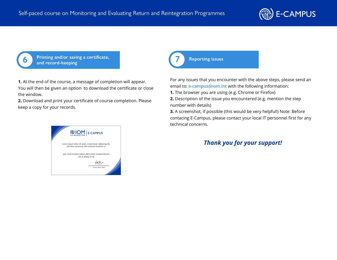

**6 Printing and/or saving a certificate, and record‐keeping**

**1.** At the end of the course, a message of completion will appear. You will then be given an option to download the certificate or close the window.

**2.** Download and print your certificate of course completion. Please keep a copy for your records.



**7 Reporting issues**

For any issues that you encounter with the above steps, please send an email to: **e-campus@iom.int** with the following information:

**1.** The browser you are using (e.g. Chrome or Firefox)

**2.** Description of the issue you encountered (e.g. mention the step number with details)

**3.** A screenshot, if possible (this would be very helpful!) Note: Before contacing E-Campus, please contact your local IT personnel first for any technical concerns.

## *Thank you for your support!*